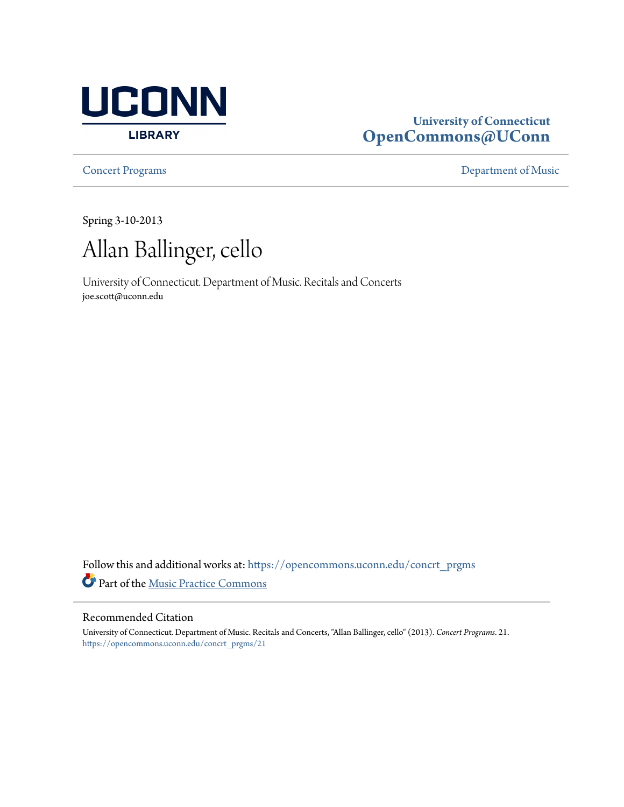

## **University of Connecticut [OpenCommons@UConn](https://opencommons.uconn.edu?utm_source=opencommons.uconn.edu%2Fconcrt_prgms%2F21&utm_medium=PDF&utm_campaign=PDFCoverPages)**

**[Concert Programs](https://opencommons.uconn.edu/concrt_prgms?utm_source=opencommons.uconn.edu%2Fconcrt_prgms%2F21&utm_medium=PDF&utm_campaign=PDFCoverPages) [Department of Music](https://opencommons.uconn.edu/music?utm_source=opencommons.uconn.edu%2Fconcrt_prgms%2F21&utm_medium=PDF&utm_campaign=PDFCoverPages)** 

Spring 3-10-2013



University of Connecticut. Department of Music. Recitals and Concerts joe.scott@uconn.edu

Follow this and additional works at: [https://opencommons.uconn.edu/concrt\\_prgms](https://opencommons.uconn.edu/concrt_prgms?utm_source=opencommons.uconn.edu%2Fconcrt_prgms%2F21&utm_medium=PDF&utm_campaign=PDFCoverPages) Part of the [Music Practice Commons](http://network.bepress.com/hgg/discipline/523?utm_source=opencommons.uconn.edu%2Fconcrt_prgms%2F21&utm_medium=PDF&utm_campaign=PDFCoverPages)

### Recommended Citation

University of Connecticut. Department of Music. Recitals and Concerts, "Allan Ballinger, cello" (2013). *Concert Programs*. 21. [https://opencommons.uconn.edu/concrt\\_prgms/21](https://opencommons.uconn.edu/concrt_prgms/21?utm_source=opencommons.uconn.edu%2Fconcrt_prgms%2F21&utm_medium=PDF&utm_campaign=PDFCoverPages)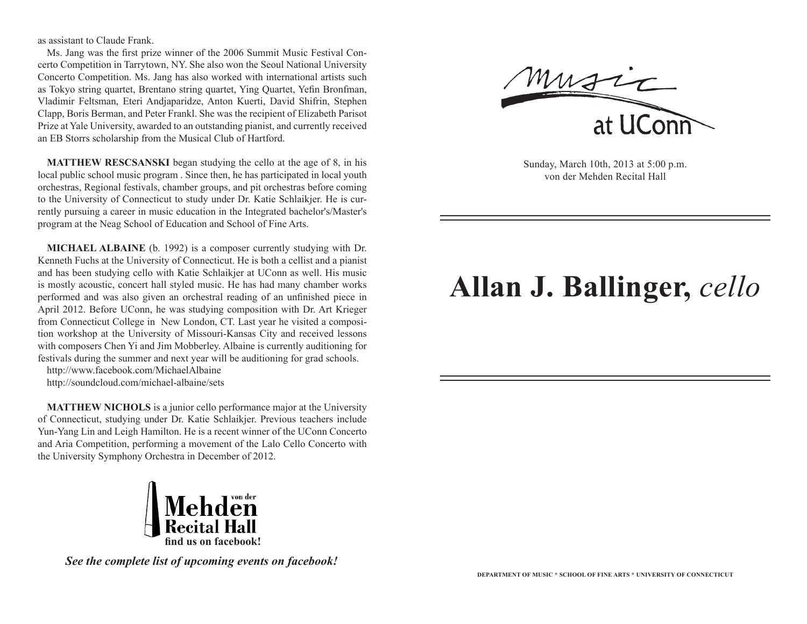as assistant to Claude Frank.

Ms. Jang was the first prize winner of the 2006 Summit Music Festival Concerto Competition in Tarrytown, NY. She also won the Seoul National University Concerto Competition. Ms. Jang has also worked with international artists such as Tokyo string quartet, Brentano string quartet, Ying Quartet, Yefin Bronfman, Vladimir Feltsman, Eteri Andjaparidze, Anton Kuerti, David Shifrin, Stephen Clapp, Boris Berman, and Peter Frankl. She was the recipient of Elizabeth Parisot Prize at Yale University, awarded to an outstanding pianist, and currently received an EB Storrs scholarship from the Musical Club of Hartford.

**MATTHEW RESCSANSKI** began studying the cello at the age of 8, in his local public school music program . Since then, he has participated in local youth orchestras, Regional festivals, chamber groups, and pit orchestras before coming to the University of Connecticut to study under Dr. Katie Schlaikjer. He is currently pursuing a career in music education in the Integrated bachelor's/Master's program at the Neag School of Education and School of Fine Arts.

**MICHAEL ALBAINE** (b. 1992) is a composer currently studying with Dr. Kenneth Fuchs at the University of Connecticut. He is both a cellist and a pianist and has been studying cello with Katie Schlaikjer at UConn as well. His music is mostly acoustic, concert hall styled music. He has had many chamber works performed and was also given an orchestral reading of an unfinished piece in April 2012. Before UConn, he was studying composition with Dr. Art Krieger from Connecticut College in New London, CT. Last year he visited a composition workshop at the University of Missouri-Kansas City and received lessons with composers Chen Yi and Jim Mobberley. Albaine is currently auditioning for festivals during the summer and next year will be auditioning for grad schools.

http://www.facebook.com/MichaelAlbaine

http://soundcloud.com/michael-albaine/sets

**MATTHEW NICHOLS** is a junior cello performance major at the University of Connecticut, studying under Dr. Katie Schlaikjer. Previous teachers include Yun-Yang Lin and Leigh Hamilton. He is a recent winner of the UConn Concerto and Aria Competition, performing a movement of the Lalo Cello Concerto with the University Symphony Orchestra in December of 2012.



*See the complete list of upcoming events on facebook!*

Music

Sunday, March 10th, 2013 at 5:00 p.m. von der Mehden Recital Hall

# **Allan J. Ballinger,** *cello*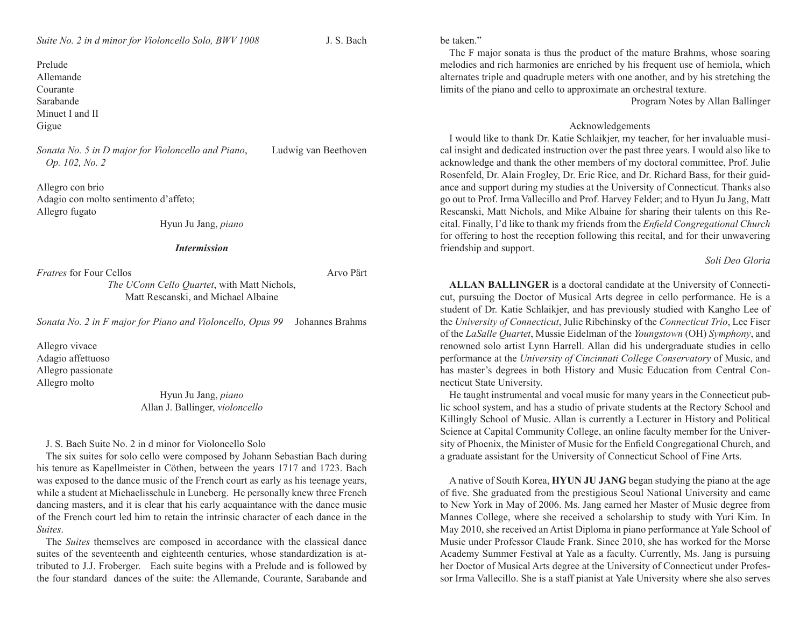Prelude Allemande Courante Sarabande Minuet I and II Gigue

*Sonata No. 5 in D major for Violoncello and Piano*, Ludwig van Beethoven *Op. 102, No. 2* 

Allegro con brio Adagio con molto sentimento d'affeto; Allegro fugato

Hyun Ju Jang, *piano*

#### *Intermission*

*Fratres* for Four Cellos **Arvo Pärt** 

*The UConn Cello Quartet*, with Matt Nichols, Matt Rescanski, and Michael Albaine

*Sonata No. 2 in F major for Piano and Violoncello, Opus 99* Johannes Brahms

Allegro vivace Adagio affettuoso Allegro passionate Allegro molto

> Hyun Ju Jang, *piano* Allan J. Ballinger, *violoncello*

#### J. S. Bach Suite No. 2 in d minor for Violoncello Solo

The six suites for solo cello were composed by Johann Sebastian Bach during his tenure as Kapellmeister in Cöthen, between the years 1717 and 1723. Bach was exposed to the dance music of the French court as early as his teenage years, while a student at Michaelisschule in Luneberg. He personally knew three French dancing masters, and it is clear that his early acquaintance with the dance music of the French court led him to retain the intrinsic character of each dance in the *Suites*.

The *Suites* themselves are composed in accordance with the classical dance suites of the seventeenth and eighteenth centuries, whose standardization is attributed to J.J. Froberger. Each suite begins with a Prelude and is followed by the four standard dances of the suite: the Allemande, Courante, Sarabande and

be taken"

The F major sonata is thus the product of the mature Brahms, whose soaring melodies and rich harmonies are enriched by his frequent use of hemiola, which alternates triple and quadruple meters with one another, and by his stretching the limits of the piano and cello to approximate an orchestral texture.

Program Notes by Allan Ballinger

#### Acknowledgements

I would like to thank Dr. Katie Schlaikjer, my teacher, for her invaluable musical insight and dedicated instruction over the past three years. I would also like to acknowledge and thank the other members of my doctoral committee, Prof. Julie Rosenfeld, Dr. Alain Frogley, Dr. Eric Rice, and Dr. Richard Bass, for their guidance and support during my studies at the University of Connecticut. Thanks also go out to Prof. Irma Vallecillo and Prof. Harvey Felder; and to Hyun Ju Jang, Matt Rescanski, Matt Nichols, and Mike Albaine for sharing their talents on this Recital. Finally, I'd like to thank my friends from the *Enfield Congregational Church*  for offering to host the reception following this recital, and for their unwavering friendship and support.

#### *Soli Deo Gloria*

**ALLAN BALLINGER** is a doctoral candidate at the University of Connecticut, pursuing the Doctor of Musical Arts degree in cello performance. He is a student of Dr. Katie Schlaikjer, and has previously studied with Kangho Lee of the *University of Connecticut*, Julie Ribchinsky of the *Connecticut Trio*, Lee Fiser of the *LaSalle Quartet*, Mussie Eidelman of the *Youngstown* (OH) *Symphony*, and renowned solo artist Lynn Harrell. Allan did his undergraduate studies in cello performance at the *University of Cincinnati College Conservatory* of Music, and has master's degrees in both History and Music Education from Central Connecticut State University.

He taught instrumental and vocal music for many years in the Connecticut public school system, and has a studio of private students at the Rectory School and Killingly School of Music. Allan is currently a Lecturer in History and Political Science at Capital Community College, an online faculty member for the University of Phoenix, the Minister of Music for the Enfield Congregational Church, and a graduate assistant for the University of Connecticut School of Fine Arts.

A native of South Korea, **HYUN JU JANG** began studying the piano at the age of five. She graduated from the prestigious Seoul National University and came to New York in May of 2006. Ms. Jang earned her Master of Music degree from Mannes College, where she received a scholarship to study with Yuri Kim. In May 2010, she received an Artist Diploma in piano performance at Yale School of Music under Professor Claude Frank. Since 2010, she has worked for the Morse Academy Summer Festival at Yale as a faculty. Currently, Ms. Jang is pursuing her Doctor of Musical Arts degree at the University of Connecticut under Professor Irma Vallecillo. She is a staff pianist at Yale University where she also serves